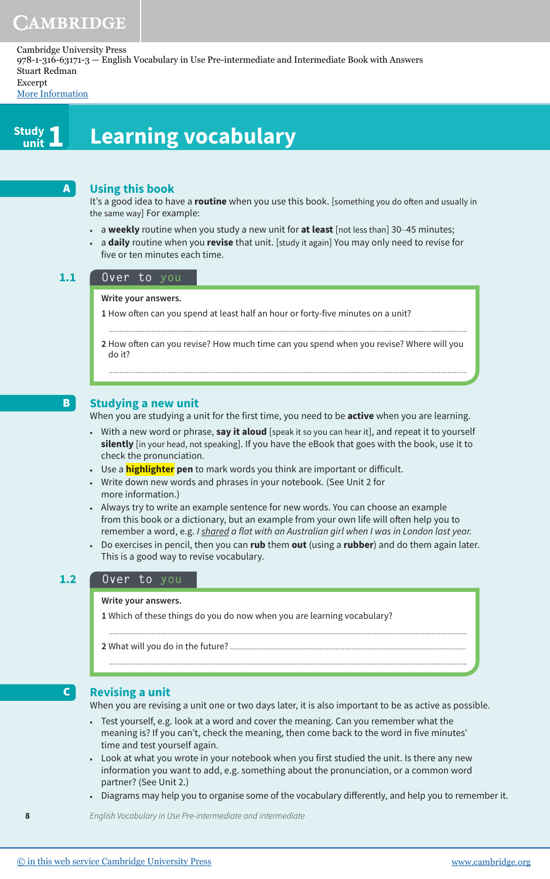Cambridge University Press 978-1-316-63171-3 — English Vocabulary in Use Pre-intermediate and Intermediate Book with Answers Stuart Redman Excerpt [More Information](www.cambridge.org/9781316631713)

### **Learning vocabulary Learning Studv**



B

### **Using this book**

It's a good idea to have a **routine** when you use this book. [something you do oten and usually in the same way] For example:

- a **weekly** routine when you study a new unit for **at least** [not less than] 30–45 minutes;
- a **daily** routine when you **revise** that unit. [study it again] You may only need to revise for five or ten minutes each time.

### **1.1 Over to you**

### **Write your answers.**

**1** How often can you spend at least half an hour or forty-five minutes on a unit?

2 How often can you revise? How much time can you spend when you revise? Where will you do it?

### **Studying a new unit**

When you are studying a unit for the first time, you need to be **active** when you are learning.

- With a new word or phrase, **say it aloud** [speak it so you can hear it], and repeat it to yourself **silently** [in your head, not speaking]. If you have the eBook that goes with the book, use it to check the pronunciation.
- Use a **highlighter pen** to mark words you think are important or dificult.
- Write down new words and phrases in your notebook. (See Unit 2 for more information.)
- Always try to write an example sentence for new words. You can choose an example from this book or a dictionary, but an example from your own life will often help you to remember a word, e.g. I shared a flat with an Australian girl when I was in London last year.
- Do exercises in pencil, then you can **rub** them **out** (using a **rubber**) and do them again later. This is a good way to revise vocabulary.

### **1.2 Over to you**

### **Write your answers.**

**1** Which of these things do you do now when you are learning vocabulary?

- **2** What will you do in the future?
- 

### **Revising a unit**

C

When you are revising a unit one or two days later, it is also important to be as active as possible.

- Test yourself, e.g. look at a word and cover the meaning. Can you remember what the meaning is? If you can't, check the meaning, then come back to the word in five minutes' time and test yourself again.
- Look at what you wrote in your notebook when you first studied the unit. Is there any new information you want to add, e.g. something about the pronunciation, or a common word partner? (See Unit 2.)
- Diagrams may help you to organise some of the vocabulary diferently, and help you to remember it.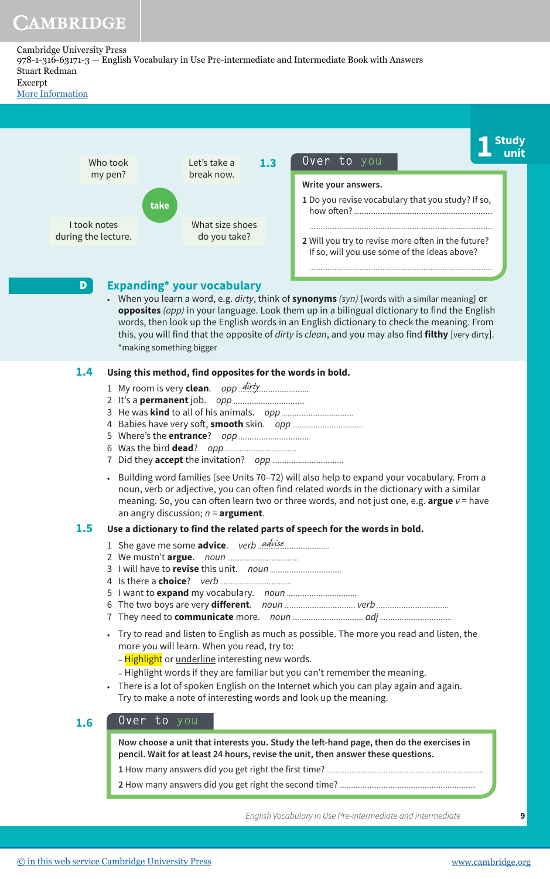Cambridge University Press 978-1-316-63171-3 — English Vocabulary in Use Pre-intermediate and Intermediate Book with Answers Stuart Redman Excerpt [More Information](www.cambridge.org/9781316631713)

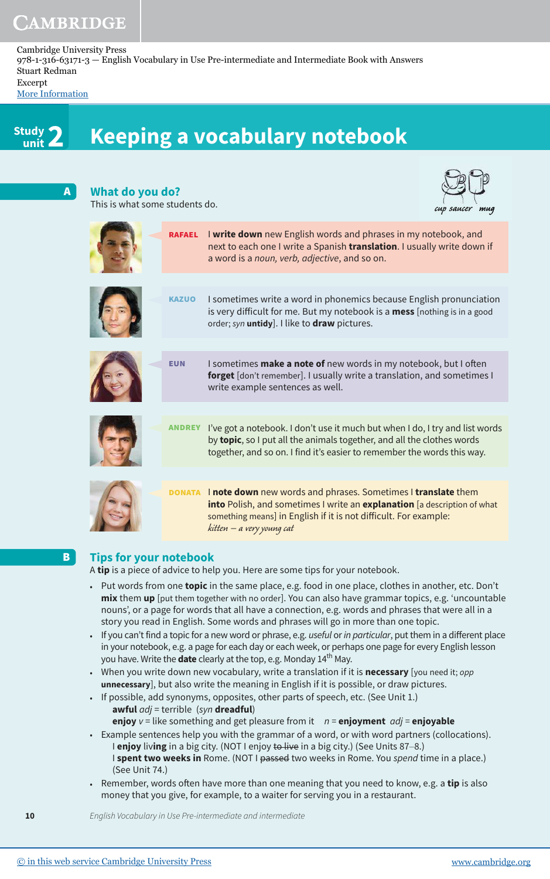Cambridge University Press 978-1-316-63171-3 — English Vocabulary in Use Pre-intermediate and Intermediate Book with Answers Stuart Redman Excerpt [More Information](www.cambridge.org/9781316631713)

### **Keeping a vocabulary notebook Study Study**

| Α | What do you do?<br>This is what some students do. |               |                                                                                                                                                                                                                                                  | cup saucer<br>muq |
|---|---------------------------------------------------|---------------|--------------------------------------------------------------------------------------------------------------------------------------------------------------------------------------------------------------------------------------------------|-------------------|
|   |                                                   | <b>RAFAEL</b> | I write down new English words and phrases in my notebook, and<br>next to each one I write a Spanish translation. I usually write down if<br>a word is a noun, verb, adjective, and so on.                                                       |                   |
|   |                                                   |               |                                                                                                                                                                                                                                                  |                   |
|   |                                                   | <b>KAZUO</b>  | I sometimes write a word in phonemics because English pronunciation<br>is very difficult for me. But my notebook is a mess [nothing is in a good<br>order; syn <i>untidy</i> ]. I like to draw pictures.                                         |                   |
|   |                                                   |               |                                                                                                                                                                                                                                                  |                   |
|   |                                                   | <b>EUN</b>    | I sometimes <b>make a note of</b> new words in my notebook, but I often<br>forget [don't remember]. I usually write a translation, and sometimes I<br>write example sentences as well.                                                           |                   |
|   |                                                   |               |                                                                                                                                                                                                                                                  |                   |
|   |                                                   |               | I've got a notebook. I don't use it much but when I do, I try and list words<br>by topic, so I put all the animals together, and all the clothes words<br>together, and so on. I find it's easier to remember the words this way.                |                   |
|   |                                                   |               |                                                                                                                                                                                                                                                  |                   |
|   |                                                   |               | DONATA Inote down new words and phrases. Sometimes I translate them<br>into Polish, and sometimes I write an explanation [a description of what<br>something means] in English if it is not difficult. For example:<br>kitten – a very young cat |                   |
|   |                                                   |               |                                                                                                                                                                                                                                                  |                   |

**Tips for your notebook** 

B

A **tip** is a piece of advice to help you. Here are some tips for your notebook.

- Put words from one **topic** in the same place, e.g. food in one place, clothes in another, etc. Don't **mix** them **up** [put them together with no order]. You can also have grammar topics, e.g. 'uncountable nouns', or a page for words that all have a connection, e.g. words and phrases that were all in a story you read in English. Some words and phrases will go in more than one topic.
- If you can't find a topic for a new word or phrase, e.g. useful or in particular, put them in a different place in your notebook, e.g. a page for each day or each week, or perhaps one page for every English lesson you have. Write the **date** clearly at the top, e.g. Monday 14<sup>th</sup> May.
- When you write down new vocabulary, write a translation if it is **necessary** [you need it; *opp* **unnecessary**], but also write the meaning in English if it is possible, or draw pictures.
- If possible, add synonyms, opposites, other parts of speech, etc. (See Unit 1.) **awful** adj = terrible (syn **dreadful**) **enjoy** v = like something and get pleasure from itn = **enjoyment** adj = **enjoyable**
- Example sentences help you with the grammar of a word, or with word partners (collocations). I **enjoy** liv**ing** in a big city. (NOT I enjoy to live in a big city.) (See Units 87–8.) I **spent two weeks in** Rome. (NOT I passed two weeks in Rome. You spend time in a place.) (See Unit 74.)
- Remember, words often have more than one meaning that you need to know, e.g. a tip is also money that you give, for example, to a waiter for serving you in a restaurant.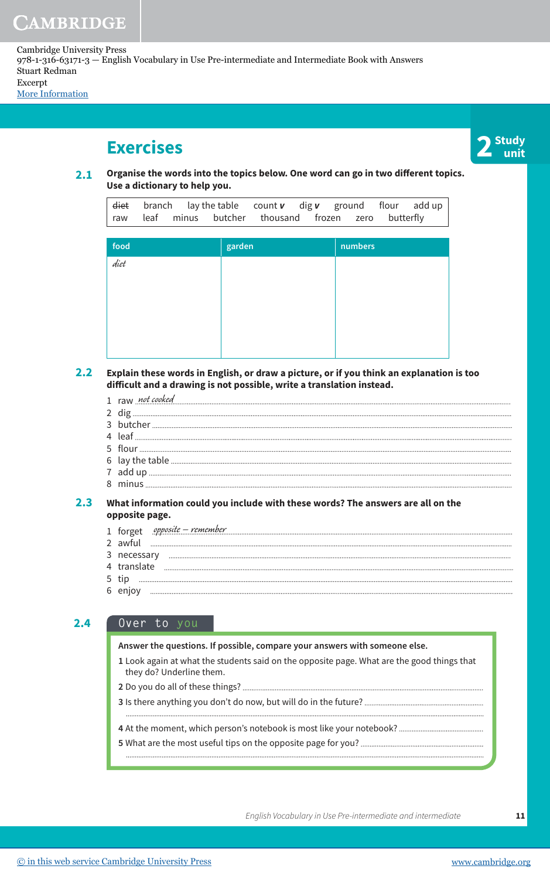# **Exercises 2**



Organise the words into the topics below. One word can go in two different topics. **Use a dictionary to help you. 2.1**

|  |  | $\frac{d\theta}{dt}$ branch lay the table count $\bf{v}$ dig $\bf{v}$ ground flour add up |  |  |  |
|--|--|-------------------------------------------------------------------------------------------|--|--|--|
|  |  | raw leaf minus butcher thousand frozen zero butterfly                                     |  |  |  |
|  |  |                                                                                           |  |  |  |

| food          | garden | numbers |
|---------------|--------|---------|
| $\emph{dict}$ |        |         |
|               |        |         |
|               |        |         |
|               |        |         |
|               |        |         |
|               |        |         |

#### **Explain these words in English, or draw a picture, or if you think an explanation is too**  difficult and a drawing is not possible, write a translation instead. **2.2**

- 1 raw *not cooked*
- 2 dig
- 3 butcher
- 4 leaf 5 flour
- 6 lay the table
- 7 add up
- 8 minus

#### **What information could you include with these words? The answers are all on the opposite page. 2.3**

- 1 forget *opposite* remember
- 2 awful
- 3 necessary
- 4 translate
- 5 tip
- 6 enjoy

### **2.4 Over to you**

**Answer the questions. If possible, compare your answers with someone else.**

**1** Look again at what the students said on the opposite page. What are the good things that they do? Underline them.

**2** Do you do all of these things?

**3** Is there anything you don't do now, but will do in the future?

- **4** At the moment, which person's notebook is most like your notebook?
- **5** What are the most useful tips on the opposite page for you?

English Vocabulary in Use Pre-intermediate and intermediate **11**

[© in this web service Cambridge University Press](www.cambridge.org) www.cambridge.org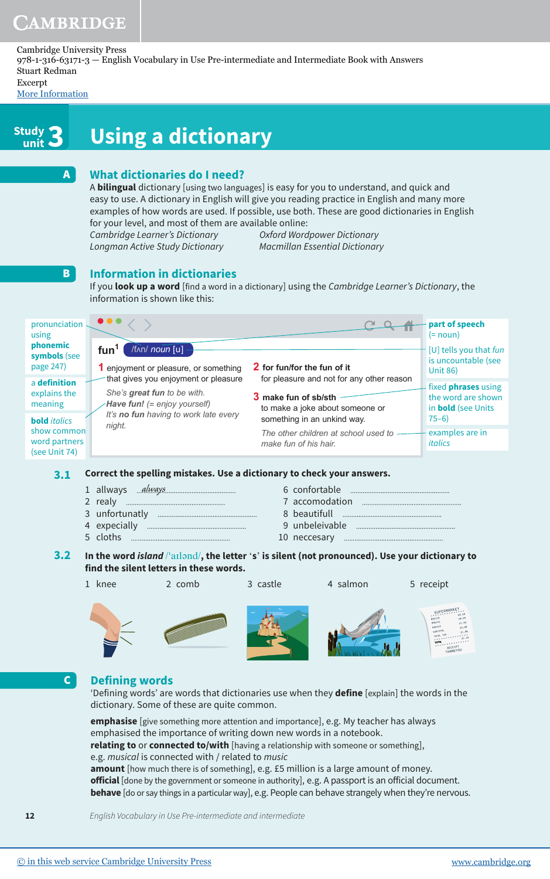A

B

Cambridge University Press 978-1-316-63171-3 — English Vocabulary in Use Pre-intermediate and Intermediate Book with Answers Stuart Redman Excerpt [More Information](www.cambridge.org/9781316631713)

**Using a dictionary Using a dictionary Study** 

### **What dictionaries do I need?**

A **bilingual** dictionary [using two languages] is easy for you to understand, and quick and easy to use. A dictionary in English will give you reading practice in English and many more examples of how words are used. If possible, use both. These are good dictionaries in English for your level, and most of them are available online:

Cambridge Learner's Dictionary Oxford Wordpower Dictionary Longman Active Study Dictionary Macmillan Essential Dictionary

### **Information in dictionaries**

If you **look up a word** [find a word in a dictionary] using the Cambridge Learner's Dictionary, the information is shown like this:

| pronunciation<br>using<br>phonemic<br>symbols (see<br>page 247)       | DO.<br>/fʌn/ noun [u] -<br>fun <sup>1</sup><br>1 enjoyment or pleasure, or something                                                                  | 2 for fun/for the fun of it                                                                                                         | part of speech<br>(= noun)<br>[U] tells you that <i>fun</i><br>is uncountable (see<br><b>Unit 86)</b> |
|-----------------------------------------------------------------------|-------------------------------------------------------------------------------------------------------------------------------------------------------|-------------------------------------------------------------------------------------------------------------------------------------|-------------------------------------------------------------------------------------------------------|
| a definition<br>explains the<br>meaning<br><b>bold</b> <i>italics</i> | that gives you enjoyment or pleasure<br>She's great fun to be with.<br><b>Have fun!</b> $(=$ enjoy yourself)<br>It's no fun having to work late every | for pleasure and not for any other reason<br>3 make fun of sb/sth<br>to make a joke about someone or<br>something in an unkind way. | fixed <b>phrases</b> using<br>the word are shown<br>in <b>bold</b> (see Units<br>$75-6)$              |
| show common<br>word partners<br>(see Unit 74)                         | night.                                                                                                                                                | The other children at school used to<br>make fun of his hair.                                                                       | examples are in<br><i>italics</i>                                                                     |

#### **Correct the spelling mistakes. Use a dictionary to check your answers. 3.1**

- 1 allways 6 confortable always
- 2 realy 7 accomodation
- 3 unfortunatly 8 beautifull
- 4 expecially 9 unbeleivable
- 
- 
- 
- 
- 
- 5 cloths 10 neccesary
- **In the word island** /ˈaɪlənd/**, the letter** '**s**' **is silent (not pronounced). Use your dictionary to find the silent letters in these words. 3.2**

1 knee 12 comb 3 castle 14 salmon 5 receipt











### C

### **Defining words**

'Defining words' are words that dictionaries use when they **define** [explain] the words in the dictionary. Some of these are quite common.

**emphasise** [give something more attention and importance], e.g. My teacher has always emphasised the importance of writing down new words in a notebook. **relating to** or **connected to/with** [having a relationship with someone or something], e.g. musical is connected with / related to music **amount** [how much there is of something], e.g. £5 million is a large amount of money. **official** [done by the government or someone in authority], e.g. A passport is an official document.

**behave** [do or say things in a particular way], e.g. People can behave strangely when they're nervous.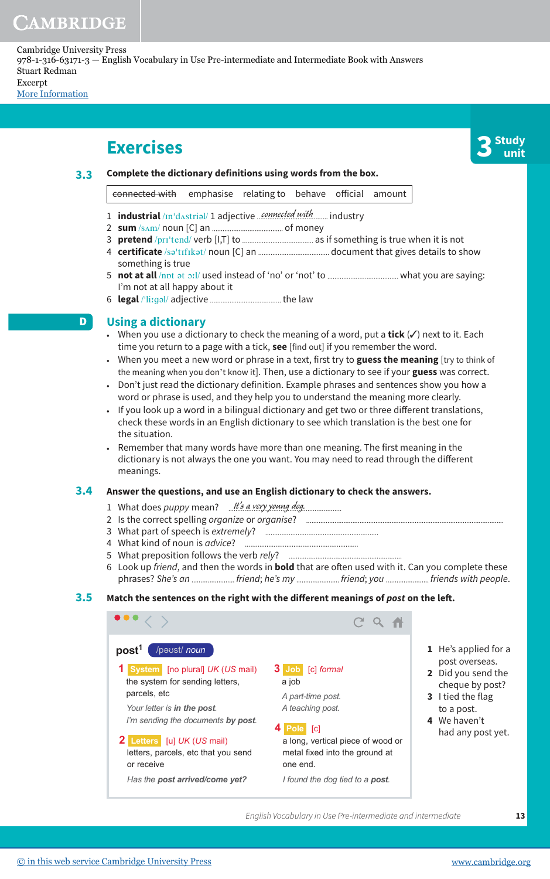Cambridge University Press 978-1-316-63171-3 — English Vocabulary in Use Pre-intermediate and Intermediate Book with Answers Stuart Redman Excerpt [More Information](www.cambridge.org/9781316631713)

# **Exercises 3**



**Complete the dictionary definitions using words from the box. 3.3**

connected with emphasise relating to behave oficial amount

- 1 **industrial** /ɪnˈdʌstriəl/ 1 adjective *connected with* industry
- 2 **sum** /sʌm/ noun [C] an of money
- 3 **pretend** /prɪˈtend/ verb [I,T] to as if something is true when it is not
- 4 **certificate** /səˈtɪfɪkət/ noun [C] an document that gives details to show something is true
- 5 **not at all** /nɒt ət ɔːl/ used instead of 'no' or 'not' to what you are saying: I'm not at all happy about it
- 6 **legal** /ˈliːgəl/ adjective the law

### **Using a dictionary**

D

- When you use a dictionary to check the meaning of a word, put a **tick** (✓) next to it. Each time you return to a page with a tick, **see** [find out] if you remember the word.
- When you meet a new word or phrase in a text, first try to **guess the meaning** [try to think of the meaning when you don't know it]. Then, use a dictionary to see if your **guess** was correct.
- Don't just read the dictionary definition. Example phrases and sentences show you how a word or phrase is used, and they help you to understand the meaning more clearly.
- If you look up a word in a bilingual dictionary and get two or three diferent translations, check these words in an English dictionary to see which translation is the best one for the situation.
- Remember that many words have more than one meaning. The first meaning in the dictionary is not always the one you want. You may need to read through the diferent meanings.

#### **Answer the questions, and use an English dictionary to check the answers. 3.4**

- 1 What does *puppy* mean? *It's a very young dog.*
- 2 Is the correct spelling organize or organise?
- 3 What part of speech is extremely?
- 4 What kind of noun is advice?
- 5 What preposition follows the verb rely?
- 6 Look up friend, and then the words in **bold** that are oten used with it. Can you complete these phrases? She's an ......................... friend; he's my .......................... friend; you .......................... friends with people.

#### **Match the sentences on the right with the diferent meanings of post on the let. 3.5**

| /paust/ noun<br>$\text{post}^1$<br><b>1</b> System [no plural] UK (US mail)<br>the system for sending letters.<br>parcels, etc<br>Your letter is in the post.<br>I'm sending the documents by post.<br><b>2</b> Letters [u] UK (US mail)<br>letters, parcels, etc that you send<br>or receive<br>Has the post arrived/come yet? | $3$ Job<br>[c] formal<br>a job<br>A part-time post.<br>A teaching post.<br>41 Pole I<br>[C]<br>a long, vertical piece of wood or<br>metal fixed into the ground at<br>one end.<br>I found the dog tied to a <b>post</b> . | <b>1</b> He's applied for a<br>post overseas.<br>2 Did you send the<br>cheque by post?<br>3 I tied the flag<br>to a post.<br>4 We haven't<br>had any post yet. |
|---------------------------------------------------------------------------------------------------------------------------------------------------------------------------------------------------------------------------------------------------------------------------------------------------------------------------------|---------------------------------------------------------------------------------------------------------------------------------------------------------------------------------------------------------------------------|----------------------------------------------------------------------------------------------------------------------------------------------------------------|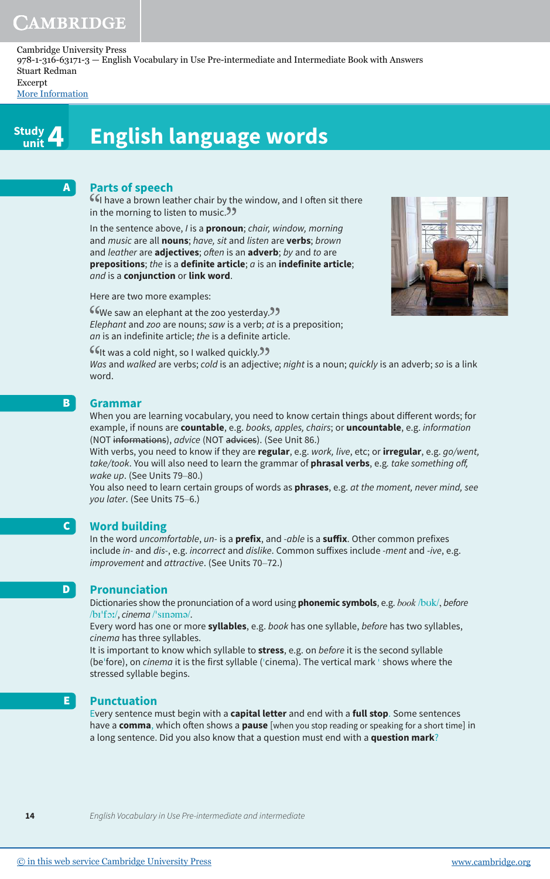A

### tudy **4** English language words **Stud**v



 $G<sub>1</sub>$  have a brown leather chair by the window, and I often sit there in the morning to listen to music.<sup>99</sup>

In the sentence above, I is a **pronoun**; chair, window, morning and music are all **nouns**; have, sit and listen are **verbs**; brown and leather are **adjectives**; often is an **adverb**; by and to are **prepositions**; the is a **definite article**; a is an **indefinite article**; and is a **conjunction** or **link word**.

Here are two more examples:

We saw an elephant at the zoo yesterday. Elephant and zoo are nouns; saw is a verb;  $at$  is a preposition; an is an indefinite article; the is a definite article.

 $G$ It was a cold night, so I walked quickly. $22$ 

Was and walked are verbs; cold is an adjective; night is a noun; quickly is an adverb; so is a link word.

| M. |
|----|
|    |

C

D

E

### **Grammar**

When you are learning vocabulary, you need to know certain things about diferent words; for example, if nouns are **countable**, e.g. books, apples, chairs; or **uncountable**, e.g. information (NOT informations), advice (NOT advices). (See Unit 86.)

With verbs, you need to know if they are **regular**, e.g. work, live, etc; or **irregular**, e.g. go/went, take/took. You will also need to learn the grammar of **phrasal verbs**, e.g. take something of, wake up. (See Units 79–80.)

You also need to learn certain groups of words as **phrases**, e.g. at the moment, never mind, see you later. (See Units 75–6.)

### **Word building**

In the word uncomfortable, un- is a **prefix**, and -able is a **sufix**. Other common prefixes include in- and dis-, e.g. incorrect and dislike. Common suffixes include -ment and -ive, e.g. improvement and attractive. (See Units 70–72.)

### **Pronunciation**

Dictionaries show the pronunciation of a word using **phonemic symbols**, e.g. *book* /bʊk/, before /bɪˈfɔː/, cinema /ˈsɪnəmə/.

Every word has one or more **syllables**, e.g. book has one syllable, before has two syllables, cinema has three syllables.

It is important to know which syllable to **stress**, e.g. on before it is the second syllable (be'fore), on cinema it is the first syllable ('cinema). The vertical mark ' shows where the stressed syllable begins.

### **Punctuation**

Every sentence must begin with a **capital letter** and end with a **full stop**. Some sentences have a **comma**, which often shows a **pause** [when you stop reading or speaking for a short time] in a long sentence. Did you also know that a question must end with a **question mark**?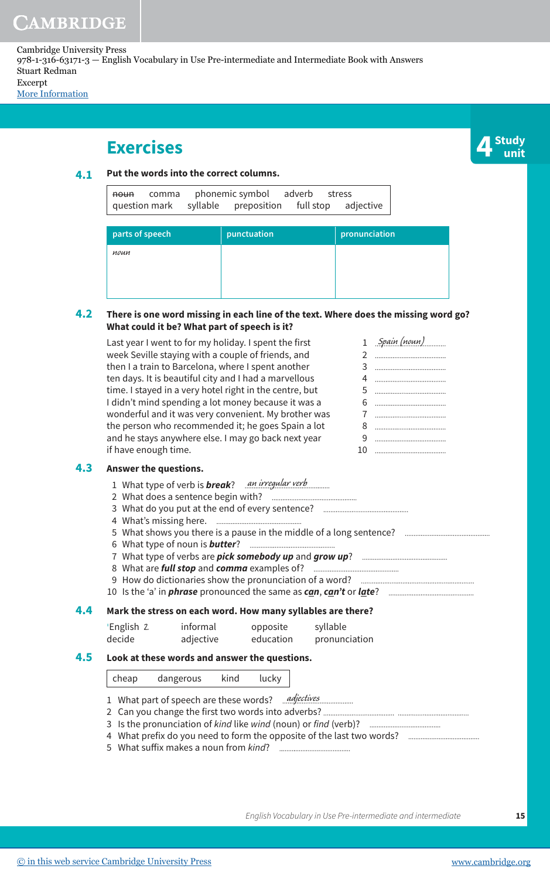### **Study unit 4**

## **Exercises**



| noun |  | comma phonemic symbol adverb stress                    |  |  |
|------|--|--------------------------------------------------------|--|--|
|      |  | question mark syllable preposition full stop adjective |  |  |

| parts of speech | punctuation | pronunciation |
|-----------------|-------------|---------------|
| noun            |             |               |
|                 |             |               |
|                 |             |               |

#### **There is one word missing in each line of the text. Where does the missing word go? What could it be? What part of speech is it? 4.2**

|     | Last year I went to for my holiday. I spent the first<br>week Seville staying with a couple of friends, and<br>then I a train to Barcelona, where I spent another<br>ten days. It is beautiful city and I had a marvellous<br>time. I stayed in a very hotel right in the centre, but<br>I didn't mind spending a lot money because it was a<br>wonderful and it was very convenient. My brother was<br>the person who recommended it; he goes Spain a lot<br>and he stays anywhere else. I may go back next year<br>if have enough time. | $\mathbf{1}$<br>$\mathcal{P}$<br>3<br>4<br>5<br>6<br>$\overline{7}$<br>9 | Spain (noun) |
|-----|-------------------------------------------------------------------------------------------------------------------------------------------------------------------------------------------------------------------------------------------------------------------------------------------------------------------------------------------------------------------------------------------------------------------------------------------------------------------------------------------------------------------------------------------|--------------------------------------------------------------------------|--------------|
| 4.3 | Answer the questions.                                                                                                                                                                                                                                                                                                                                                                                                                                                                                                                     |                                                                          |              |
|     | 1 What type of verb is <b>break</b> ? an irregular verb                                                                                                                                                                                                                                                                                                                                                                                                                                                                                   |                                                                          |              |
| 4.4 | Mark the stress on each word. How many syllables are there?                                                                                                                                                                                                                                                                                                                                                                                                                                                                               |                                                                          |              |
|     | informal<br>'English 2<br>opposite<br>syllable<br>decide<br>adjective<br>education<br>pronunciation                                                                                                                                                                                                                                                                                                                                                                                                                                       |                                                                          |              |
| 4.5 | Look at these words and answer the questions.                                                                                                                                                                                                                                                                                                                                                                                                                                                                                             |                                                                          |              |
|     | dangerous<br>lucky<br>kind<br>cheap                                                                                                                                                                                                                                                                                                                                                                                                                                                                                                       |                                                                          |              |
|     | 1 What part of speech are these words?  adjectives                                                                                                                                                                                                                                                                                                                                                                                                                                                                                        |                                                                          |              |

5 What sufix makes a noun from kind?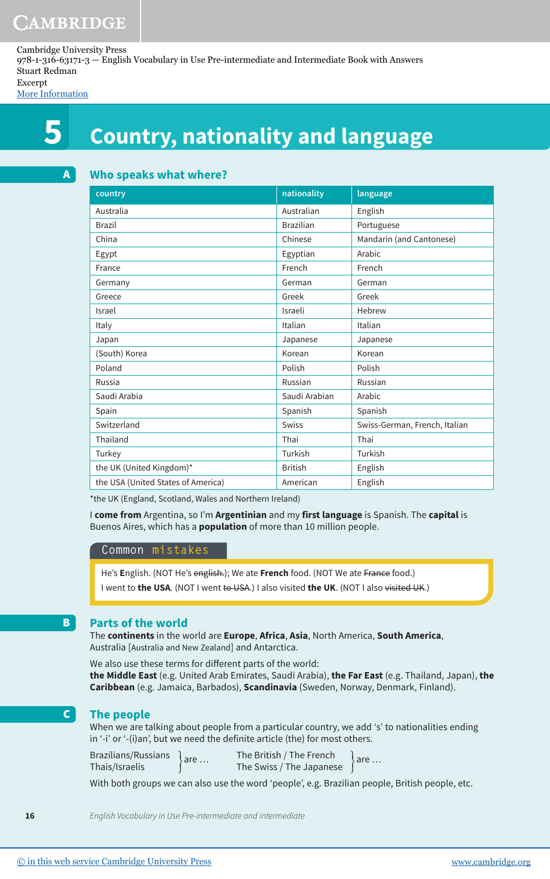Cambridge University Press 978-1-316-63171-3 — English Vocabulary in Use Pre-intermediate and Intermediate Book with Answers Stuart Redman Excerpt [More Information](www.cambridge.org/9781316631713)

# **5 Country, nationality and language**

### A

### **Who speaks what where?**

| country                            | nationality      | language                      |
|------------------------------------|------------------|-------------------------------|
| Australia                          | Australian       | English                       |
| <b>Brazil</b>                      | <b>Brazilian</b> | Portuguese                    |
| China                              | Chinese          | Mandarin (and Cantonese)      |
| Egypt                              | Egyptian         | Arabic                        |
| France                             | French           | French                        |
| Germany                            | German           | German                        |
| Greece                             | Greek            | Greek                         |
| Israel                             | Israeli          | Hebrew                        |
| Italy                              | Italian          | Italian                       |
| Japan                              | Japanese         | Japanese                      |
| (South) Korea                      | Korean           | Korean                        |
| Poland                             | Polish           | Polish                        |
| Russia                             | Russian          | Russian                       |
| Saudi Arabia                       | Saudi Arabian    | Arabic                        |
| Spain                              | Spanish          | Spanish                       |
| Switzerland                        | <b>Swiss</b>     | Swiss-German, French, Italian |
| Thailand                           | Thai             | Thai                          |
| Turkey                             | Turkish          | Turkish                       |
| the UK (United Kingdom)*           | <b>British</b>   | English                       |
| the USA (United States of America) | American         | English                       |

\*the UK (England, Scotland, Wales and Northern Ireland)

I **come from** Argentina, so I'm **Argentinian** and my **first language** is Spanish. The **capital** is Buenos Aires, which has a **population** of more than 10 million people.

### **Common mistakes**

He's **E**nglish. (NOT He's english.); We ate **French** food. (NOT We ate France food.)

I went to **the USA**. (NOT I went to USA.) I also visited **the UK**. (NOT I also visited UK.)

### **Parts of the world**

The **continents** in the world are **Europe**, **Africa**, **Asia**, North America, **South America**, Australia [Australia and New Zealand] and Antarctica.

We also use these terms for diferent parts of the world: **the Middle East** (e.g. United Arab Emirates, Saudi Arabia), **the Far East** (e.g. Thailand, Japan), **the Caribbean** (e.g. Jamaica, Barbados), **Scandinavia** (Sweden, Norway, Denmark, Finland).

### **The people**

B

C

When we are talking about people from a particular country, we add 's' to nationalities ending in '-i' or '-(i)an', but we need the definite article (the) for most others.

| Brazilians/Russians | lare | The British / The French | $\iota$ are $\ldots$ |
|---------------------|------|--------------------------|----------------------|
| Thais/Israelis      |      | The Swiss / The Japanese |                      |

With both groups we can also use the word 'people', e.g. Brazilian people, British people, etc.